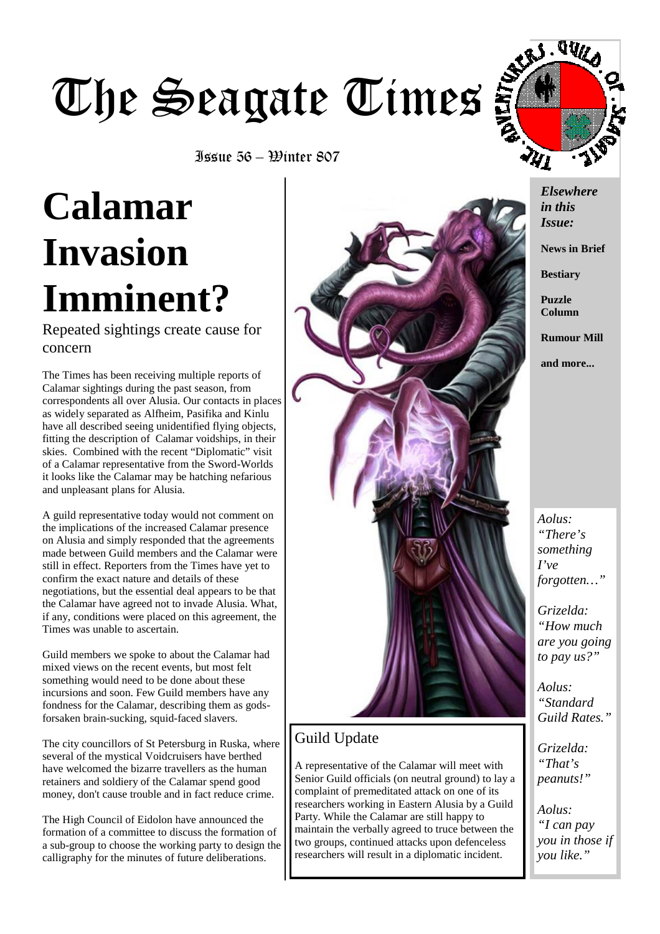# The Seagate Times



Issue 56 – Winter 807

## **Calamar Invasion Imminent?**

Repeated sightings create cause for concern

The Times has been receiving multiple reports of Calamar sightings during the past season, from correspondents all over Alusia. Our contacts in places as widely separated as Alfheim, Pasifika and Kinlu have all described seeing unidentified flying objects, fitting the description of Calamar voidships, in their skies. Combined with the recent "Diplomatic" visit of a Calamar representative from the Sword-Worlds it looks like the Calamar may be hatching nefarious and unpleasant plans for Alusia.

A guild representative today would not comment on the implications of the increased Calamar presence on Alusia and simply responded that the agreements made between Guild members and the Calamar were still in effect. Reporters from the Times have yet to confirm the exact nature and details of these negotiations, but the essential deal appears to be that the Calamar have agreed not to invade Alusia. What, if any, conditions were placed on this agreement, the Times was unable to ascertain.

Guild members we spoke to about the Calamar had mixed views on the recent events, but most felt something would need to be done about these incursions and soon. Few Guild members have any fondness for the Calamar, describing them as godsforsaken brain-sucking, squid-faced slavers.

The city councillors of St Petersburg in Ruska, where several of the mystical Voidcruisers have berthed have welcomed the bizarre travellers as the human retainers and soldiery of the Calamar spend good money, don't cause trouble and in fact reduce crime.

The High Council of Eidolon have announced the formation of a committee to discuss the formation of a sub-group to choose the working party to design the calligraphy for the minutes of future deliberations.



#### Guild Update

A representative of the Calamar will meet with Senior Guild officials (on neutral ground) to lay a complaint of premeditated attack on one of its researchers working in Eastern Alusia by a Guild Party. While the Calamar are still happy to maintain the verbally agreed to truce between the two groups, continued attacks upon defenceless researchers will result in a diplomatic incident.

*Elsewhere in this Issue:* 

**News in Brief** 

**Bestiary** 

**Puzzle Column** 

**Rumour Mill** 

**and more...** 

*Aolus: "There's something I've forgotten…"* 

*Grizelda: "How much are you going to pay us?"* 

*Aolus: "Standard Guild Rates."* 

*Grizelda: "That's peanuts!"* 

*Aolus: "I can pay you in those if you like."*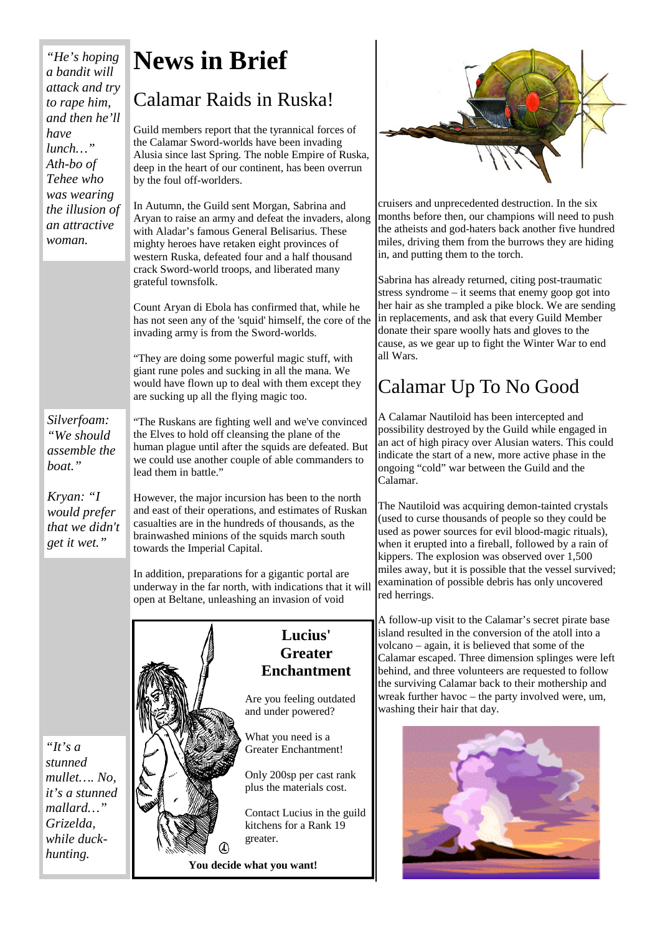*"He's hoping a bandit will attack and try to rape him, and then he'll have lunch…" Ath-bo of Tehee who was wearing the illusion of an attractive woman.*

*Silverfoam: "We should assemble the* 

*boat."* 

*Kryan: "I would prefer that we didn't get it wet."* 

## **News in Brief**

### Calamar Raids in Ruska!

Guild members report that the tyrannical forces of the Calamar Sword-worlds have been invading Alusia since last Spring. The noble Empire of Ruska, deep in the heart of our continent, has been overrun by the foul off-worlders.

In Autumn, the Guild sent Morgan, Sabrina and Aryan to raise an army and defeat the invaders, along with Aladar's famous General Belisarius. These mighty heroes have retaken eight provinces of western Ruska, defeated four and a half thousand crack Sword-world troops, and liberated many grateful townsfolk.

Count Aryan di Ebola has confirmed that, while he has not seen any of the 'squid' himself, the core of the invading army is from the Sword-worlds.

"They are doing some powerful magic stuff, with giant rune poles and sucking in all the mana. We would have flown up to deal with them except they are sucking up all the flying magic too.

"The Ruskans are fighting well and we've convinced the Elves to hold off cleansing the plane of the human plague until after the squids are defeated. But we could use another couple of able commanders to lead them in battle."

However, the major incursion has been to the north and east of their operations, and estimates of Ruskan casualties are in the hundreds of thousands, as the brainwashed minions of the squids march south towards the Imperial Capital.

In addition, preparations for a gigantic portal are underway in the far north, with indications that it will open at Beltane, unleashing an invasion of void



#### **Lucius' Greater Enchantment**

Are you feeling outdated and under powered?

What you need is a Greater Enchantment!

Only 200sp per cast rank plus the materials cost.

Contact Lucius in the guild kitchens for a Rank 19

**You decide what you want!** 



cruisers and unprecedented destruction. In the six months before then, our champions will need to push the atheists and god-haters back another five hundred miles, driving them from the burrows they are hiding in, and putting them to the torch.

Sabrina has already returned, citing post-traumatic stress syndrome – it seems that enemy goop got into her hair as she trampled a pike block. We are sending in replacements, and ask that every Guild Member donate their spare woolly hats and gloves to the cause, as we gear up to fight the Winter War to end all Wars.

## Calamar Up To No Good

A Calamar Nautiloid has been intercepted and possibility destroyed by the Guild while engaged in an act of high piracy over Alusian waters. This could indicate the start of a new, more active phase in the ongoing "cold" war between the Guild and the Calamar.

The Nautiloid was acquiring demon-tainted crystals (used to curse thousands of people so they could be used as power sources for evil blood-magic rituals), when it erupted into a fireball, followed by a rain of kippers. The explosion was observed over 1,500 miles away, but it is possible that the vessel survived; examination of possible debris has only uncovered red herrings.

A follow-up visit to the Calamar's secret pirate base island resulted in the conversion of the atoll into a volcano – again, it is believed that some of the Calamar escaped. Three dimension splinges were left behind, and three volunteers are requested to follow the surviving Calamar back to their mothership and wreak further havoc – the party involved were, um, washing their hair that day.



*"It's a stunned mullet…. No, it's a stunned mallard…" Grizelda, while duckhunting.*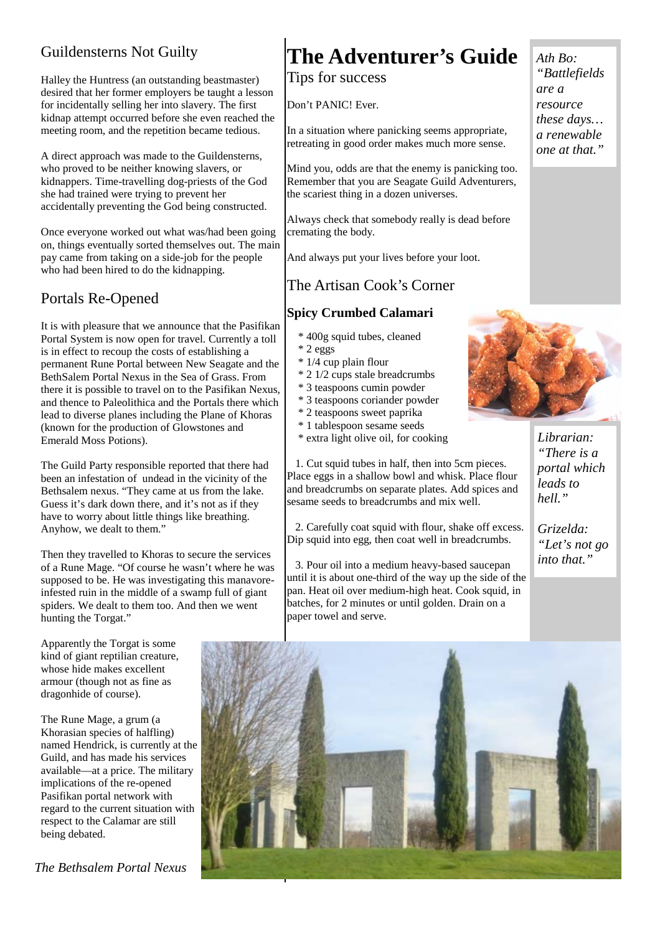#### Guildensterns Not Guilty

Halley the Huntress (an outstanding beastmaster) desired that her former employers be taught a lesson for incidentally selling her into slavery. The first kidnap attempt occurred before she even reached the meeting room, and the repetition became tedious.

A direct approach was made to the Guildensterns, who proved to be neither knowing slavers, or kidnappers. Time-travelling dog-priests of the God she had trained were trying to prevent her accidentally preventing the God being constructed.

Once everyone worked out what was/had been going on, things eventually sorted themselves out. The main pay came from taking on a side-job for the people who had been hired to do the kidnapping.

#### Portals Re-Opened

It is with pleasure that we announce that the Pasifikan Portal System is now open for travel. Currently a toll is in effect to recoup the costs of establishing a permanent Rune Portal between New Seagate and the BethSalem Portal Nexus in the Sea of Grass. From there it is possible to travel on to the Pasifikan Nexus, and thence to Paleolithica and the Portals there which lead to diverse planes including the Plane of Khoras (known for the production of Glowstones and Emerald Moss Potions).

The Guild Party responsible reported that there had been an infestation of undead in the vicinity of the Bethsalem nexus. "They came at us from the lake. Guess it's dark down there, and it's not as if they have to worry about little things like breathing. Anyhow, we dealt to them."

Then they travelled to Khoras to secure the services of a Rune Mage. "Of course he wasn't where he was supposed to be. He was investigating this manavoreinfested ruin in the middle of a swamp full of giant spiders. We dealt to them too. And then we went hunting the Torgat."

Apparently the Torgat is some kind of giant reptilian creature, whose hide makes excellent armour (though not as fine as dragonhide of course).

The Rune Mage, a grum (a Khorasian species of halfling) named Hendrick, is currently at the Guild, and has made his services available—at a price. The military implications of the re-opened Pasifikan portal network with regard to the current situation with respect to the Calamar are still being debated.

*The Bethsalem Portal Nexus* 

## **The Adventurer's Guide**

#### Tips for success

Don't PANIC! Ever.

In a situation where panicking seems appropriate, retreating in good order makes much more sense.

Mind you, odds are that the enemy is panicking too. Remember that you are Seagate Guild Adventurers, the scariest thing in a dozen universes.

Always check that somebody really is dead before cremating the body.

And always put your lives before your loot.

#### The Artisan Cook's Corner

#### **Spicy Crumbed Calamari**

- \* 400g squid tubes, cleaned
- \* 2 eggs
- \* 1/4 cup plain flour
- \* 2 1/2 cups stale breadcrumbs
- \* 3 teaspoons cumin powder
- \* 3 teaspoons coriander powder
- \* 2 teaspoons sweet paprika
- \* 1 tablespoon sesame seeds
- \* extra light olive oil, for cooking

 1. Cut squid tubes in half, then into 5cm pieces. Place eggs in a shallow bowl and whisk. Place flour and breadcrumbs on separate plates. Add spices and sesame seeds to breadcrumbs and mix well.

 2. Carefully coat squid with flour, shake off excess. Dip squid into egg, then coat well in breadcrumbs.

 3. Pour oil into a medium heavy-based saucepan until it is about one-third of the way up the side of the pan. Heat oil over medium-high heat. Cook squid, in batches, for 2 minutes or until golden. Drain on a paper towel and serve.



*Librarian: "There is a portal which leads to hell."* 

*Grizelda: "Let's not go into that."* 



*resource these days… a renewable one at that."* 

*Ath Bo: "Battlefields* 

*are a*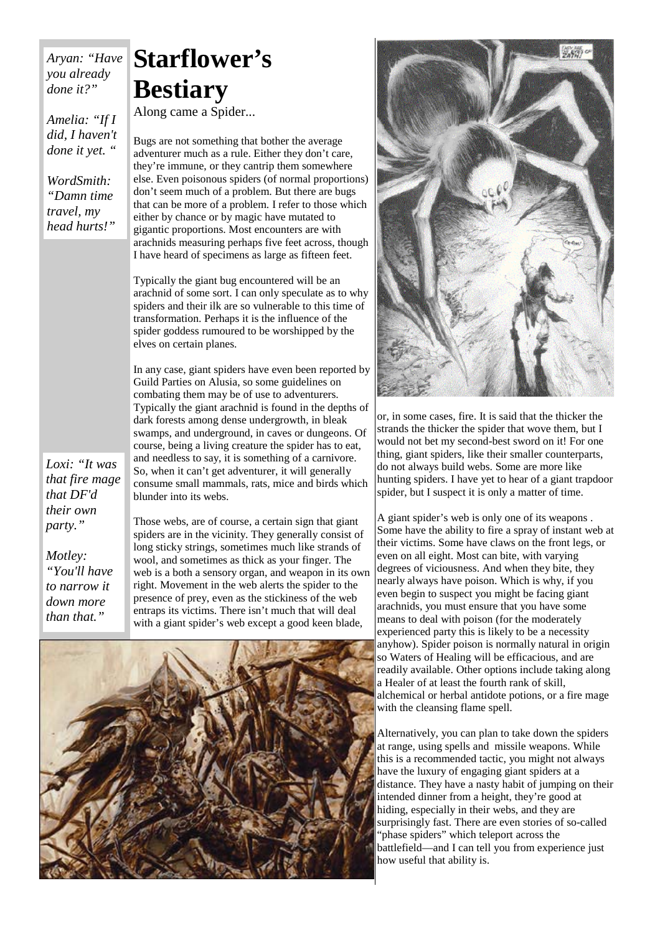*Aryan: "Have you already done it?"* 

*Amelia: "If I did, I haven't done it yet. "* 

*WordSmith: "Damn time travel, my head hurts!"* 

*Loxi: "It was that fire mage that DF'd their own party."* 

*Motley: "You'll have to narrow it down more than that."* 

## **Starflower's Bestiary**

Along came a Spider...

Bugs are not something that bother the average adventurer much as a rule. Either they don't care, they're immune, or they cantrip them somewhere else. Even poisonous spiders (of normal proportions) don't seem much of a problem. But there are bugs that can be more of a problem. I refer to those which either by chance or by magic have mutated to gigantic proportions. Most encounters are with arachnids measuring perhaps five feet across, though I have heard of specimens as large as fifteen feet.

Typically the giant bug encountered will be an arachnid of some sort. I can only speculate as to why spiders and their ilk are so vulnerable to this time of transformation. Perhaps it is the influence of the spider goddess rumoured to be worshipped by the elves on certain planes.

In any case, giant spiders have even been reported by Guild Parties on Alusia, so some guidelines on combating them may be of use to adventurers. Typically the giant arachnid is found in the depths of dark forests among dense undergrowth, in bleak swamps, and underground, in caves or dungeons. Of course, being a living creature the spider has to eat, and needless to say, it is something of a carnivore. So, when it can't get adventurer, it will generally consume small mammals, rats, mice and birds which blunder into its webs.

Those webs, are of course, a certain sign that giant spiders are in the vicinity. They generally consist of long sticky strings, sometimes much like strands of wool, and sometimes as thick as your finger. The web is a both a sensory organ, and weapon in its own right. Movement in the web alerts the spider to the presence of prey, even as the stickiness of the web entraps its victims. There isn't much that will deal with a giant spider's web except a good keen blade,





or, in some cases, fire. It is said that the thicker the strands the thicker the spider that wove them, but I would not bet my second-best sword on it! For one thing, giant spiders, like their smaller counterparts, do not always build webs. Some are more like hunting spiders. I have yet to hear of a giant trapdoor spider, but I suspect it is only a matter of time.

A giant spider's web is only one of its weapons . Some have the ability to fire a spray of instant web at their victims. Some have claws on the front legs, or even on all eight. Most can bite, with varying degrees of viciousness. And when they bite, they nearly always have poison. Which is why, if you even begin to suspect you might be facing giant arachnids, you must ensure that you have some means to deal with poison (for the moderately experienced party this is likely to be a necessity anyhow). Spider poison is normally natural in origin so Waters of Healing will be efficacious, and are readily available. Other options include taking along a Healer of at least the fourth rank of skill, alchemical or herbal antidote potions, or a fire mage with the cleansing flame spell.

Alternatively, you can plan to take down the spiders at range, using spells and missile weapons. While this is a recommended tactic, you might not always have the luxury of engaging giant spiders at a distance. They have a nasty habit of jumping on their intended dinner from a height, they're good at hiding, especially in their webs, and they are surprisingly fast. There are even stories of so-called "phase spiders" which teleport across the battlefield—and I can tell you from experience just how useful that ability is.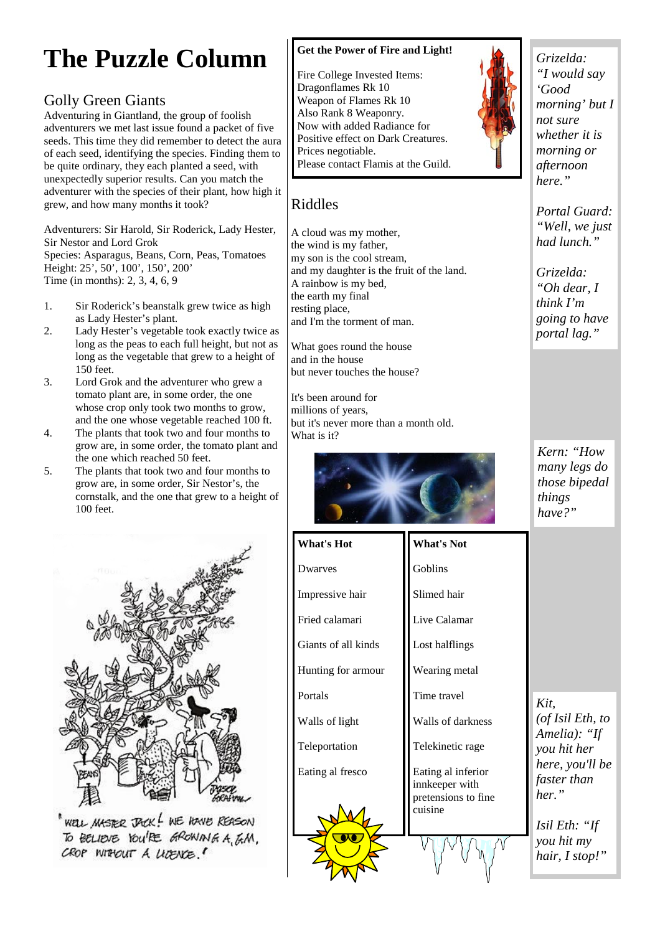## **The Puzzle Column**

#### Golly Green Giants

Adventuring in Giantland, the group of foolish adventurers we met last issue found a packet of five seeds. This time they did remember to detect the aura of each seed, identifying the species. Finding them to be quite ordinary, they each planted a seed, with unexpectedly superior results. Can you match the adventurer with the species of their plant, how high it grew, and how many months it took?

Adventurers: Sir Harold, Sir Roderick, Lady Hester, Sir Nestor and Lord Grok Species: Asparagus, Beans, Corn, Peas, Tomatoes Height: 25', 50', 100', 150', 200' Time (in months): 2, 3, 4, 6, 9

- 1. Sir Roderick's beanstalk grew twice as high as Lady Hester's plant.
- 2. Lady Hester's vegetable took exactly twice as long as the peas to each full height, but not as long as the vegetable that grew to a height of 150 feet.
- 3. Lord Grok and the adventurer who grew a tomato plant are, in some order, the one whose crop only took two months to grow. and the one whose vegetable reached 100 ft.
- 4. The plants that took two and four months to grow are, in some order, the tomato plant and the one which reached 50 feet.
- 5. The plants that took two and four months to grow are, in some order, Sir Nestor's, the cornstalk, and the one that grew to a height of 100 feet.



"WELL MASTER JACK! WE HOWE REASON<br>To BELIEVE YOU'RE GROWING A, G.M. CROP WITHOUT A LICENCE.

#### **Get the Power of Fire and Light!**

Fire College Invested Items: Dragonflames Rk 10 Weapon of Flames Rk 10 Also Rank 8 Weaponry. Now with added Radiance for Positive effect on Dark Creatures. Prices negotiable. Please contact Flamis at the Guild.

and my daughter is the fruit of the land.

Riddles

A cloud was my mother, the wind is my father, my son is the cool stream,

A rainbow is my bed, the earth my final resting place,

and in the house

It's been around for millions of years,

What is it?

and I'm the torment of man.

What goes round the house

but never touches the house?

but it's never more than a month old.



*Grizelda: "I would say 'Good morning' but I not sure whether it is morning or afternoon here."* 

*Portal Guard: "Well, we just had lunch."* 

*Grizelda: "Oh dear, I think I'm going to have portal lag."* 

*Kern: "How many legs do those bipedal things have?"* 

**What's Hot**  Dwarves Impressive hair Fried calamari Giants of all kinds Hunting for armour Portals Walls of light Teleportation Eating al fresco

Slimed hair Live Calamar

Goblins

**What's Not** 

Lost halflings

Wearing metal

Time travel

Walls of darkness

Telekinetic rage

Eating al inferior innkeeper with pretensions to fine -<br>cuisine



*Kit, (of Isil Eth, to Amelia): "If you hit her here, you'll be faster than her."* 

*Isil Eth: "If you hit my hair, I stop!"*